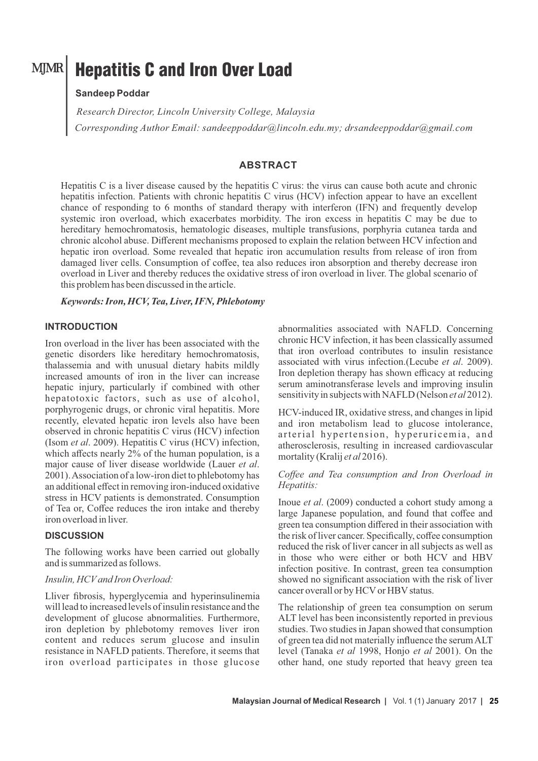# Hepatitis C and Iron Over Load

# **Sandeep Poddar**

*Research Director, Lincoln University College, Malaysia Corresponding Author Email: sandeeppoddar@lincoln.edu.my; drsandeeppoddar@gmail.com* 

## **ABSTRACT**

Hepatitis C is a liver disease caused by the hepatitis C virus: the virus can cause both acute and chronic hepatitis infection. Patients with chronic hepatitis C virus (HCV) infection appear to have an excellent chance of responding to 6 months of standard therapy with interferon (IFN) and frequently develop systemic iron overload, which exacerbates morbidity. The iron excess in hepatitis C may be due to hereditary hemochromatosis, hematologic diseases, multiple transfusions, porphyria cutanea tarda and chronic alcohol abuse. Different mechanisms proposed to explain the relation between HCV infection and hepatic iron overload. Some revealed that hepatic iron accumulation results from release of iron from damaged liver cells. Consumption of coffee, tea also reduces iron absorption and thereby decrease iron overload in Liver and thereby reduces the oxidative stress of iron overload in liver. The global scenario of this problem has been discussed in the article.

#### *Keywords: Iron, HCV, Tea, Liver, IFN, Phlebotomy*

## **INTRODUCTION**

Iron overload in the liver has been associated with the genetic disorders like hereditary hemochromatosis, thalassemia and with unusual dietary habits mildly increased amounts of iron in the liver can increase hepatic injury, particularly if combined with other hepatotoxic factors, such as use of alcohol, porphyrogenic drugs, or chronic viral hepatitis. More recently, elevated hepatic iron levels also have been observed in chronic hepatitis C virus (HCV) infection (Isom *et al*. 2009). Hepatitis C virus (HCV) infection, which affects nearly 2% of the human population, is a major cause of liver disease worldwide (Lauer *et al*. 2001). Association of a low-iron diet to phlebotomy has an additional effect in removing iron-induced oxidative stress in HCV patients is demonstrated. Consumption of Tea or, Coffee reduces the iron intake and thereby iron overload in liver.

#### **DISCUSSION**

The following works have been carried out globally and is summarized as follows.

#### *Insulin, HCVand Iron Overload:*

Lliver fibrosis, hyperglycemia and hyperinsulinemia will lead to increased levels of insulin resistance and the development of glucose abnormalities. Furthermore, iron depletion by phlebotomy removes liver iron content and reduces serum glucose and insulin resistance in NAFLD patients. Therefore, it seems that iron overload participates in those glucose

abnormalities associated with NAFLD. Concerning chronic HCV infection, it has been classically assumed that iron overload contributes to insulin resistance associated with virus infection.(Lecube *et al*. 2009). Iron depletion therapy has shown efficacy at reducing serum aminotransferase levels and improving insulin sensitivity in subjects with NAFLD (Nelson *et al* 2012).

HCV-induced IR, oxidative stress, and changes in lipid and iron metabolism lead to glucose intolerance, arterial hypertension, hyperuricemia, and atherosclerosis, resulting in increased cardiovascular mortality (Kralij *et al* 2016).

#### *Coffee and Tea consumption and Iron Overload in Hepatitis:*

Inoue *et al*. (2009) conducted a cohort study among a large Japanese population, and found that coffee and green tea consumption differed in their association with the risk of liver cancer. Specifically, coffee consumption reduced the risk of liver cancer in all subjects as well as in those who were either or both HCV and HBV infection positive. In contrast, green tea consumption showed no significant association with the risk of liver cancer overall or by HCV or HBV status.

The relationship of green tea consumption on serum ALT level has been inconsistently reported in previous studies. Two studies in Japan showed that consumption of green tea did not materially influence the serum ALT level (Tanaka *et al* 1998, Honjo *et al* 2001). On the other hand, one study reported that heavy green tea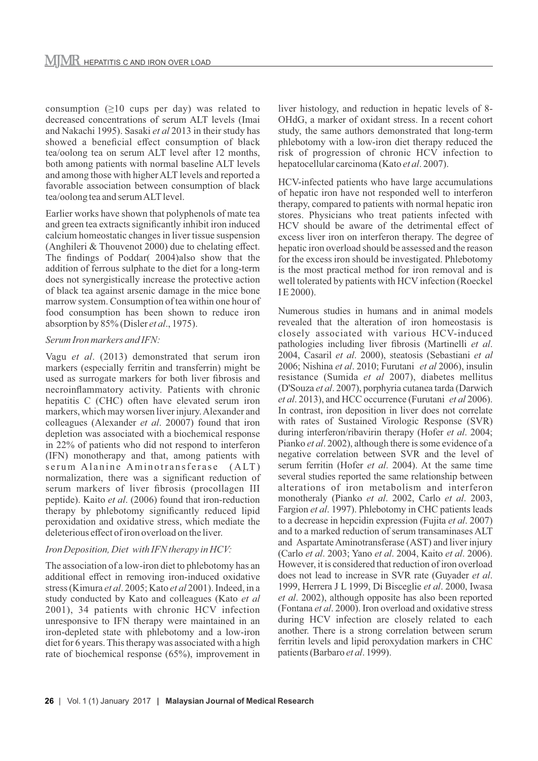consumption  $(\geq 10$  cups per day) was related to decreased concentrations of serum ALT levels (Imai and Nakachi 1995). Sasaki *et al* 2013 in their study has showed a beneficial effect consumption of black tea/oolong tea on serum ALT level after 12 months, both among patients with normal baseline ALT levels and among those with higher ALT levels and reported a favorable association between consumption of black tea/oolong tea and serum ALTlevel.

Earlier works have shown that polyphenols of mate tea and green tea extracts significantly inhibit iron induced calcium homeostatic changes in liver tissue suspension (Anghileri & Thouvenot 2000) due to chelating effect. The findings of Poddar( 2004)also show that the addition of ferrous sulphate to the diet for a long-term does not synergistically increase the protective action of black tea against arsenic damage in the mice bone marrow system. Consumption of tea within one hour of food consumption has been shown to reduce iron absorption by 85% (Disler *et al*., 1975).

## *Serum Iron markers and IFN:*

Vagu *et al*. (2013) demonstrated that serum iron markers (especially ferritin and transferrin) might be used as surrogate markers for both liver fibrosis and necroinflammatory activity. Patients with chronic hepatitis C (CHC) often have elevated serum iron markers, which may worsen liver injury. Alexander and colleagues (Alexander *et al*. 20007) found that iron depletion was associated with a biochemical response in 22% of patients who did not respond to interferon (IFN) monotherapy and that, among patients with serum Alanine Aminotransferase (ALT) normalization, there was a significant reduction of serum markers of liver fibrosis (procollagen III peptide). Kaito *et al*. (2006) found that iron-reduction therapy by phlebotomy significantly reduced lipid peroxidation and oxidative stress, which mediate the deleterious effect of iron overload on the liver.

# *Iron Deposition, Diet with IFN therapy in HCV:*

The association of a low-iron diet to phlebotomy has an additional effect in removing iron-induced oxidative stress (Kimura *et al*. 2005; Kato *et al* 2001). Indeed, in a study conducted by Kato and colleagues (Kato *et al* 2001), 34 patients with chronic HCV infection unresponsive to IFN therapy were maintained in an iron-depleted state with phlebotomy and a low-iron diet for 6 years. This therapy was associated with a high rate of biochemical response (65%), improvement in

liver histology, and reduction in hepatic levels of 8- OHdG, a marker of oxidant stress. In a recent cohort study, the same authors demonstrated that long-term phlebotomy with a low-iron diet therapy reduced the risk of progression of chronic HCV infection to hepatocellular carcinoma (Kato *et al*. 2007).

HCV-infected patients who have large accumulations of hepatic iron have not responded well to interferon therapy, compared to patients with normal hepatic iron stores. Physicians who treat patients infected with HCV should be aware of the detrimental effect of excess liver iron on interferon therapy. The degree of hepatic iron overload should be assessed and the reason for the excess iron should be investigated. Phlebotomy is the most practical method for iron removal and is well tolerated by patients with HCV infection (Roeckel I E 2000).

Numerous studies in humans and in animal models revealed that the alteration of iron homeostasis is closely associated with various HCV-induced pathologies including liver fibrosis (Martinelli *et al*. 2004, Casaril *et al*. 2000), steatosis (Sebastiani *et al* 2006; Nishina *et al*. 2010; Furutani *et al* 2006), insulin resistance (Sumida *et al* 2007), diabetes mellitus (D'Souza *et al*. 2007), porphyria cutanea tarda (Darwich *et al*. 2013), and HCC occurrence (Furutani *et al* 2006). In contrast, iron deposition in liver does not correlate with rates of Sustained Virologic Response (SVR) during interferon/ribavirin therapy (Hofer *et al*. 2004; Pianko *et al*. 2002), although there is some evidence of a negative correlation between SVR and the level of serum ferritin (Hofer *et al*. 2004). At the same time several studies reported the same relationship between alterations of iron metabolism and interferon monotheraly (Pianko *et al*. 2002, Carlo *et al*. 2003, Fargion *et al*. 1997). Phlebotomy in CHC patients leads to a decrease in hepcidin expression (Fujita *et al*. 2007) and to a marked reduction of serum transaminases ALT and Aspartate Aminotransferase (AST) and liver injury (Carlo *et al*. 2003; Yano *et al*. 2004, Kaito *et al*. 2006). However, it is considered that reduction of iron overload does not lead to increase in SVR rate (Guyader *et al*. 1999, Herrera J L 1999, Di Bisceglie *et al*. 2000, Iwasa *et al*. 2002), although opposite has also been reported (Fontana *et al*. 2000). Iron overload and oxidative stress during HCV infection are closely related to each another. There is a strong correlation between serum ferritin levels and lipid peroxydation markers in CHC patients (Barbaro *et al*. 1999).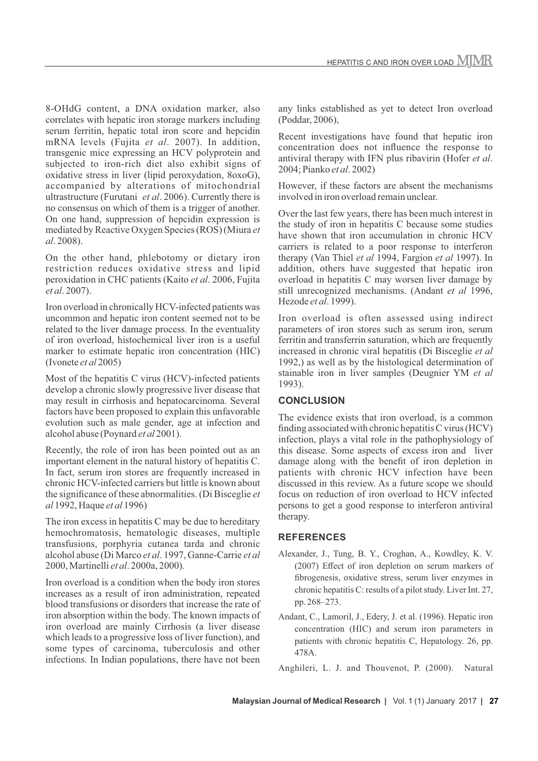8-OHdG content, a DNA oxidation marker, also correlates with hepatic iron storage markers including serum ferritin, hepatic total iron score and hepcidin mRNA levels (Fujita *et al*. 2007). In addition, transgenic mice expressing an HCV polyprotein and subjected to iron-rich diet also exhibit signs of oxidative stress in liver (lipid peroxydation, 8oxoG), accompanied by alterations of mitochondrial ultrastructure (Furutani *et al*. 2006). Currently there is no consensus on which of them is a trigger of another. On one hand, suppression of hepcidin expression is mediated by Reactive Oxygen Species (ROS) (Miura *et al*. 2008).

On the other hand, phlebotomy or dietary iron restriction reduces oxidative stress and lipid peroxidation in CHC patients (Kaito *et al*. 2006, Fujita *et al*. 2007).

Iron overload in chronically HCV-infected patients was uncommon and hepatic iron content seemed not to be related to the liver damage process. In the eventuality of iron overload, histochemical liver iron is a useful marker to estimate hepatic iron concentration (HIC) (Ivonete *et al* 2005)

Most of the hepatitis C virus (HCV)-infected patients develop a chronic slowly progressive liver disease that may result in cirrhosis and hepatocarcinoma. Several factors have been proposed to explain this unfavorable evolution such as male gender, age at infection and alcohol abuse (Poynard *et al* 2001).

Recently, the role of iron has been pointed out as an important element in the natural history of hepatitis C. In fact, serum iron stores are frequently increased in chronic HCV-infected carriers but little is known about the significance of these abnormalities. (Di Bisceglie *et al* 1992, Haque *et al* 1996)

The iron excess in hepatitis C may be due to hereditary hemochromatosis, hematologic diseases, multiple transfusions, porphyria cutanea tarda and chronic alcohol abuse (Di Marco *et al*. 1997, Ganne-Carrie *et al* 2000, Martinelli *et al*. 2000a, 2000).

Iron overload is a condition when the body iron stores increases as a result of iron administration, repeated blood transfusions or disorders that increase the rate of iron absorption within the body. The known impacts of iron overload are mainly Cirrhosis (a liver disease which leads to a progressive loss of liver function), and some types of carcinoma, tuberculosis and other infections. In Indian populations, there have not been any links established as yet to detect Iron overload (Poddar, 2006),

Recent investigations have found that hepatic iron concentration does not influence the response to antiviral therapy with IFN plus ribavirin (Hofer *et al*. 2004; Pianko *et al*. 2002)

However, if these factors are absent the mechanisms involved in iron overload remain unclear.

Over the last few years, there has been much interest in the study of iron in hepatitis C because some studies have shown that iron accumulation in chronic HCV carriers is related to a poor response to interferon therapy (Van Thiel *et al* 1994, Fargion *et al* 1997). In addition, others have suggested that hepatic iron overload in hepatitis C may worsen liver damage by still unrecognized mechanisms. (Andant *et al* 1996, Hezode *et al*. 1999).

Iron overload is often assessed using indirect parameters of iron stores such as serum iron, serum ferritin and transferrin saturation, which are frequently increased in chronic viral hepatitis (Di Bisceglie *et al* 1992,) as well as by the histological determination of stainable iron in liver samples (Deugnier YM *et al* 1993).

# **CONCLUSION**

The evidence exists that iron overload, is a common finding associated with chronic hepatitis C virus (HCV) infection, plays a vital role in the pathophysiology of this disease. Some aspects of excess iron and liver damage along with the benefit of iron depletion in patients with chronic HCV infection have been discussed in this review. As a future scope we should focus on reduction of iron overload to HCV infected persons to get a good response to interferon antiviral therapy.

## **REFERENCES**

- Alexander, J., Tung, B. Y., Croghan, A., Kowdley, K. V. (2007) Effect of iron depletion on serum markers of fibrogenesis, oxidative stress, serum liver enzymes in chronic hepatitis C: results of a pilot study. Liver Int. 27, pp. 268–273.
- Andant, C., Lamoril, J., Edery, J. et al. (1996). Hepatic iron concentration (HIC) and serum iron parameters in patients with chronic hepatitis C, Hepatology. 26, pp. 478A.

Anghileri, L. J. and Thouvenot, P. (2000). Natural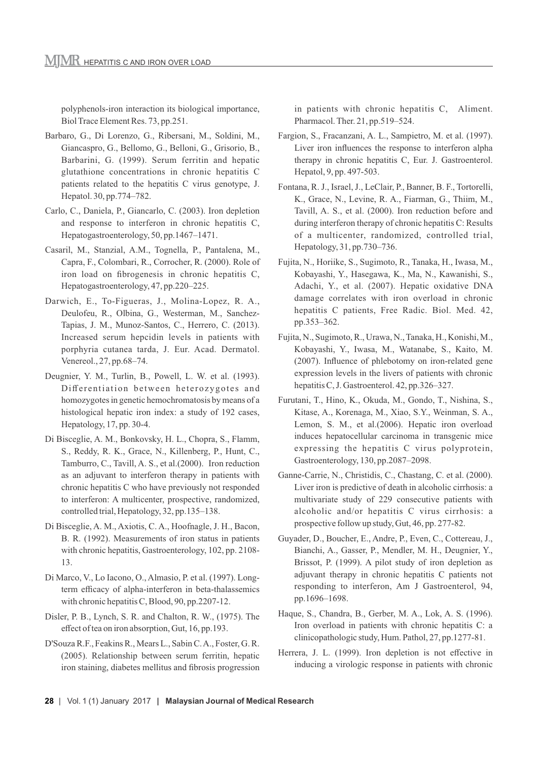polyphenols-iron interaction its biological importance, Biol Trace Element Res. 73, pp.251.

- Barbaro, G., Di Lorenzo, G., Ribersani, M., Soldini, M., Giancaspro, G., Bellomo, G., Belloni, G., Grisorio, B., Barbarini, G. (1999). Serum ferritin and hepatic glutathione concentrations in chronic hepatitis C patients related to the hepatitis C virus genotype, J. Hepatol. 30, pp.774–782.
- Carlo, C., Daniela, P., Giancarlo, C. (2003). Iron depletion and response to interferon in chronic hepatitis C, Hepatogastroenterology, 50, pp.1467–1471.
- Casaril, M., Stanzial, A.M., Tognella, P., Pantalena, M., Capra, F., Colombari, R., Corrocher, R. (2000). Role of iron load on fibrogenesis in chronic hepatitis C, Hepatogastroenterology, 47, pp.220–225.
- Darwich, E., To-Figueras, J., Molina-Lopez, R. A., Deulofeu, R., Olbina, G., Westerman, M., Sanchez-Tapias, J. M., Munoz-Santos, C., Herrero, C. (2013). Increased serum hepcidin levels in patients with porphyria cutanea tarda, J. Eur. Acad. Dermatol. Venereol., 27, pp.68–74.
- Deugnier, Y. M., Turlin, B., Powell, L. W. et al. (1993). Differentiation between heterozygotes and homozygotes in genetic hemochromatosis by means of a histological hepatic iron index: a study of 192 cases, Hepatology, 17, pp. 30-4.
- Di Bisceglie, A. M., Bonkovsky, H. L., Chopra, S., Flamm, S., Reddy, R. K., Grace, N., Killenberg, P., Hunt, C., Tamburro, C., Tavill, A. S., et al.(2000). Iron reduction as an adjuvant to interferon therapy in patients with chronic hepatitis C who have previously not responded to interferon: A multicenter, prospective, randomized, controlled trial, Hepatology, 32, pp.135–138.
- Di Bisceglie, A. M., Axiotis, C. A., Hoofnagle, J. H., Bacon, B. R. (1992). Measurements of iron status in patients with chronic hepatitis, Gastroenterology, 102, pp. 2108- 13.
- Di Marco, V., Lo Iacono, O., Almasio, P. et al. (1997). Longterm efficacy of alpha-interferon in beta-thalassemics with chronic hepatitis C, Blood, 90, pp.2207-12.
- Disler, P. B., Lynch, S. R. and Chalton, R. W., (1975). The effect of tea on iron absorption, Gut, 16, pp.193.
- D'Souza R.F., Feakins R., Mears L., Sabin C. A., Foster, G. R. (2005). Relationship between serum ferritin, hepatic iron staining, diabetes mellitus and fibrosis progression

in patients with chronic hepatitis C, Aliment. Pharmacol. Ther. 21, pp.519–524.

- Fargion, S., Fracanzani, A. L., Sampietro, M. et al. (1997). Liver iron influences the response to interferon alpha therapy in chronic hepatitis C, Eur. J. Gastroenterol. Hepatol, 9, pp. 497-503.
- Fontana, R. J., Israel, J., LeClair, P., Banner, B. F., Tortorelli, K., Grace, N., Levine, R. A., Fiarman, G., Thiim, M., Tavill, A. S., et al. (2000). Iron reduction before and during interferon therapy of chronic hepatitis C: Results of a multicenter, randomized, controlled trial, Hepatology, 31, pp.730–736.
- Fujita, N., Horiike, S., Sugimoto, R., Tanaka, H., Iwasa, M., Kobayashi, Y., Hasegawa, K., Ma, N., Kawanishi, S., Adachi, Y., et al. (2007). Hepatic oxidative DNA damage correlates with iron overload in chronic hepatitis C patients, Free Radic. Biol. Med. 42, pp.353–362.
- Fujita, N., Sugimoto, R., Urawa, N., Tanaka, H., Konishi, M., Kobayashi, Y., Iwasa, M., Watanabe, S., Kaito, M. (2007). Influence of phlebotomy on iron-related gene expression levels in the livers of patients with chronic hepatitis C, J. Gastroenterol. 42, pp.326–327.
- Furutani, T., Hino, K., Okuda, M., Gondo, T., Nishina, S., Kitase, A., Korenaga, M., Xiao, S.Y., Weinman, S. A., Lemon, S. M., et al.(2006). Hepatic iron overload induces hepatocellular carcinoma in transgenic mice expressing the hepatitis C virus polyprotein, Gastroenterology, 130, pp.2087–2098.
- Ganne-Carrie, N., Christidis, C., Chastang, C. et al. (2000). Liver iron is predictive of death in alcoholic cirrhosis: a multivariate study of 229 consecutive patients with alcoholic and/or hepatitis C virus cirrhosis: a prospective follow up study, Gut, 46, pp. 277-82.
- Guyader, D., Boucher, E., Andre, P., Even, C., Cottereau, J., Bianchi, A., Gasser, P., Mendler, M. H., Deugnier, Y., Brissot, P. (1999). A pilot study of iron depletion as adjuvant therapy in chronic hepatitis C patients not responding to interferon, Am J Gastroenterol, 94, pp.1696–1698.
- Haque, S., Chandra, B., Gerber, M. A., Lok, A. S. (1996). Iron overload in patients with chronic hepatitis C: a clinicopathologic study, Hum. Pathol, 27, pp.1277-81.
- Herrera, J. L. (1999). Iron depletion is not effective in inducing a virologic response in patients with chronic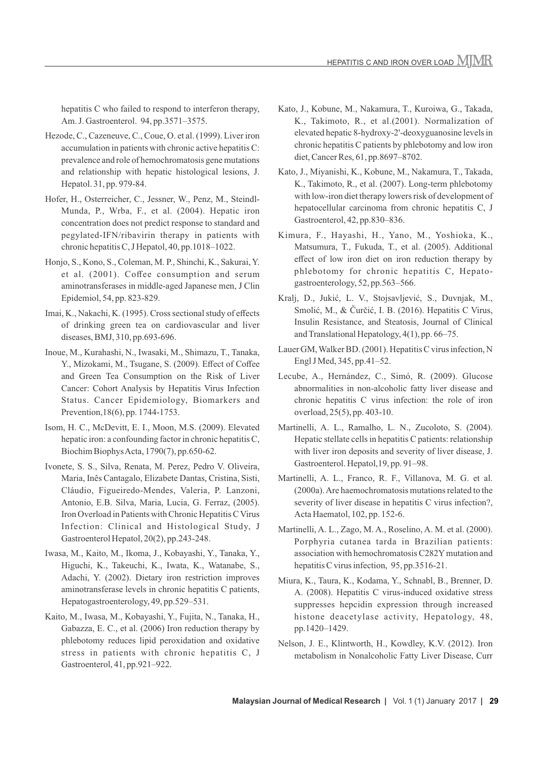- Hezode, C., Cazeneuve, C., Coue, O. et al. (1999). Liver iron accumulation in patients with chronic active hepatitis C: prevalence and role of hemochromatosis gene mutations and relationship with hepatic histological lesions, J. Hepatol. 31, pp. 979-84.
- Hofer, H., Osterreicher, C., Jessner, W., Penz, M., Steindl-Munda, P., Wrba, F., et al. (2004). Hepatic iron concentration does not predict response to standard and pegylated-IFN/ribavirin therapy in patients with chronic hepatitis C, J Hepatol, 40, pp.1018–1022.
- Honjo, S., Kono, S., Coleman, M. P., Shinchi, K., Sakurai, Y. et al. (2001). Coffee consumption and serum aminotransferases in middle-aged Japanese men, J Clin Epidemiol, 54, pp. 823-829.
- Imai, K., Nakachi, K. (1995). Cross sectional study of effects of drinking green tea on cardiovascular and liver diseases, BMJ, 310, pp.693-696.
- Inoue, M., Kurahashi, N., Iwasaki, M., Shimazu, T., Tanaka, Y., Mizokami, M., Tsugane, S. (2009). Effect of Coffee and Green Tea Consumption on the Risk of Liver Cancer: Cohort Analysis by Hepatitis Virus Infection Status. Cancer Epidemiology, Biomarkers and Prevention,18(6), pp. 1744-1753.
- Isom, H. C., McDevitt, E. I., Moon, M.S. (2009). Elevated hepatic iron: a confounding factor in chronic hepatitis C, Biochim Biophys Acta, 1790(7), pp.650-62.
- Ivonete, S. S., Silva, Renata, M. Perez, Pedro V. Oliveira, Maria, Inês Cantagalo, Elizabete Dantas, Cristina, Sisti, Cláudio, Figueiredo-Mendes, Valeria, P. Lanzoni, Antonio, E.B. Silva, Maria, Lucia, G. Ferraz, (2005). Iron Overload in Patients with Chronic Hepatitis C Virus Infection: Clinical and Histological Study, J Gastroenterol Hepatol, 20(2), pp.243-248.
- Iwasa, M., Kaito, M., Ikoma, J., Kobayashi, Y., Tanaka, Y., Higuchi, K., Takeuchi, K., Iwata, K., Watanabe, S., Adachi, Y. (2002). Dietary iron restriction improves aminotransferase levels in chronic hepatitis C patients, Hepatogastroenterology, 49, pp.529–531.
- Kaito, M., Iwasa, M., Kobayashi, Y., Fujita, N., Tanaka, H., Gabazza, E. C., et al. (2006) Iron reduction therapy by phlebotomy reduces lipid peroxidation and oxidative stress in patients with chronic hepatitis C, J Gastroenterol, 41, pp.921–922.
- Kato, J., Kobune, M., Nakamura, T., Kuroiwa, G., Takada,
- K., Takimoto, R., et al.(2001). Normalization of elevated hepatic 8-hydroxy-2'-deoxyguanosine levels in chronic hepatitis C patients by phlebotomy and low iron diet, Cancer Res, 61, pp.8697–8702.
- Kato, J., Miyanishi, K., Kobune, M., Nakamura, T., Takada, K., Takimoto, R., et al. (2007). Long-term phlebotomy with low-iron diet therapy lowers risk of development of hepatocellular carcinoma from chronic hepatitis C, J Gastroenterol, 42, pp.830–836.
- Kimura, F., Hayashi, H., Yano, M., Yoshioka, K., Matsumura, T., Fukuda, T., et al. (2005). Additional effect of low iron diet on iron reduction therapy by phlebotomy for chronic hepatitis C, Hepatogastroenterology, 52, pp.563–566.
- Kralj, D., Jukić, L. V., Stojsavljević, S., Duvnjak, M., Smolić, M., & Čurčić, I. B. (2016). Hepatitis C Virus, Insulin Resistance, and Steatosis, Journal of Clinical and Translational Hepatology, 4(1), pp. 66–75.
- Lauer GM, Walker BD. (2001). Hepatitis C virus infection, N Engl J Med, 345, pp.41–52.
- Lecube, A., Hernández, C., Simó, R. (2009). Glucose abnormalities in non-alcoholic fatty liver disease and chronic hepatitis C virus infection: the role of iron overload, 25(5), pp. 403-10.
- Martinelli, A. L., Ramalho, L. N., Zucoloto, S. (2004). Hepatic stellate cells in hepatitis C patients: relationship with liver iron deposits and severity of liver disease, J. Gastroenterol. Hepatol,19, pp. 91–98.
- Martinelli, A. L., Franco, R. F., Villanova, M. G. et al. (2000a). Are haemochromatosis mutations related to the severity of liver disease in hepatitis C virus infection?, Acta Haematol, 102, pp. 152-6.
- Martinelli, A. L., Zago, M. A., Roselino, A. M. et al. (2000). Porphyria cutanea tarda in Brazilian patients: association with hemochromatosis C282Y mutation and hepatitis C virus infection, 95, pp.3516-21.
- Miura, K., Taura, K., Kodama, Y., Schnabl, B., Brenner, D. A. (2008). Hepatitis C virus-induced oxidative stress suppresses hepcidin expression through increased histone deacetylase activity, Hepatology, 48, pp.1420–1429.
- Nelson, J. E., Klintworth, H., Kowdley, K.V. (2012). Iron metabolism in Nonalcoholic Fatty Liver Disease, Curr